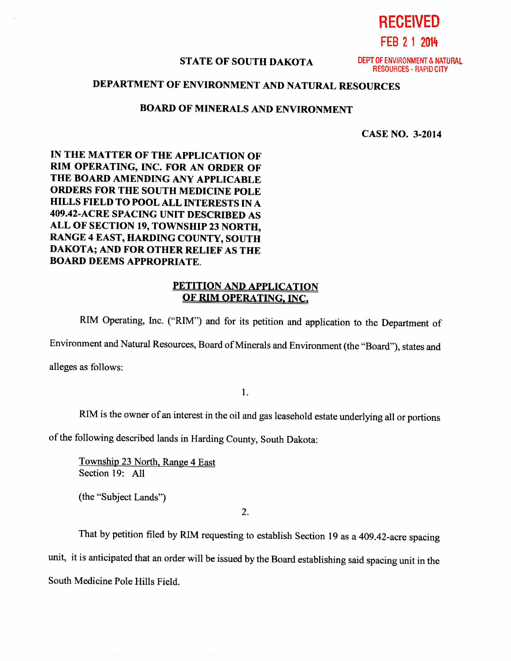**RECEIVED** 

**FEB 2 1 2014** 

## **STATE OF SOUTH DAKOTA** DEPT OF ENVIRONMENT & NATURAL

RESOURCES - RAPID CITY

## **DEPARTMENT OF ENVIRONMENT AND NATURAL RESOURCES**

## **BOARD OF MINERALS AND ENVIRONMENT**

**CASE NO. 3-2014** 

**IN THE MATTER OF THE APPLICATION OF RIM OPERATING, INC. FOR AN ORDER OF THE BOARD AMENDING ANY APPLICABLE ORDERS FOR THE SOUTH MEDICINE POLE HILLS FIELD TO POOL ALL INTERESTS IN A 409.42-ACRE SPACING UNIT DESCRIBED AS ALL OF SECTION 19, TOWNSHIP 23 NORTH, RANGE 4 EAST, HARDING COUNTY, SOUTH DAKOTA; AND FOR OTHER RELIEF AS THE BOARD DEEMS APPROPRIATE.** 

## **PETITION AND APPLICATION OF RIM OPERATING, INC.**

RIM Operating, Inc. ("RIM") and for its petition and application to the Department of

Environment and Natural Resources, Board of Minerals and Environment (the "Board"), states and alleges as follows:

1.

RIM is the owner of an interest in the oil and gas leasehold estate underlying all or portions

of the following described lands in Harding County, South Dakota:

Township 23 North, Range 4 East Section 19: All

(the "Subject Lands")

2.

That by petition filed by RIM requesting to establish Section 19 as a 409.42-acre spacing unit, it is anticipated that an order will be issued by the Board establishing said spacing unit in the South Medicine Pole Hills Field.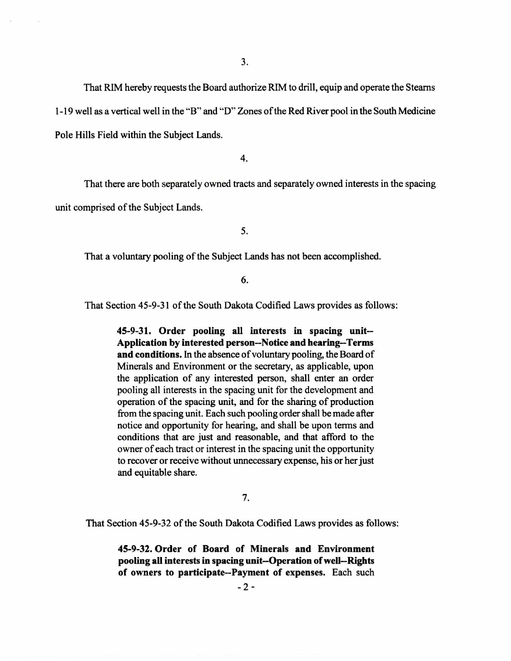That RIM hereby requests the Board authorize RIM to drill, equip and operate the Stearns 1-19 well as a vertical well in the "B" and "D" Zones of the Red River pool in the South Medicine Pole Hills Field within the Subject Lands.

4.

That there are both separately owned tracts and separately owned interests in the spacing unit comprised of the Subject Lands.

5.

That a voluntary pooling of the Subject Lands has not been accomplished.

6.

That Section 45-9-31 of the South Dakota Codified Laws provides as follows:

**45-9-31. Order pooling all interests in spacing unit-- Application by interested person—Notice and hearing—Terms and conditions.** In the absence of voluntary pooling, the Board of Minerals and Environment or the secretary, as applicable, upon the application of any interested person, shall enter an order pooling all interests in the spacing unit for the development and operation of the spacing unit, and for the sharing of production from the spacing unit. Each such pooling order shall be made after notice and opportunity for hearing, and shall be upon terms and conditions that are just and reasonable, and that afford to the owner of each tract or interest in the spacing unit the opportunity to recover or receive without unnecessary expense, his or her just and equitable share.

7.

That Section 45-9-32 of the South Dakota Codified Laws provides as follows:

**45-9-32. Order of Board of Minerals and Environment pooling all interests in spacing unit—Operation of well—Rights of owners to participate--Payment of expenses.** Each such